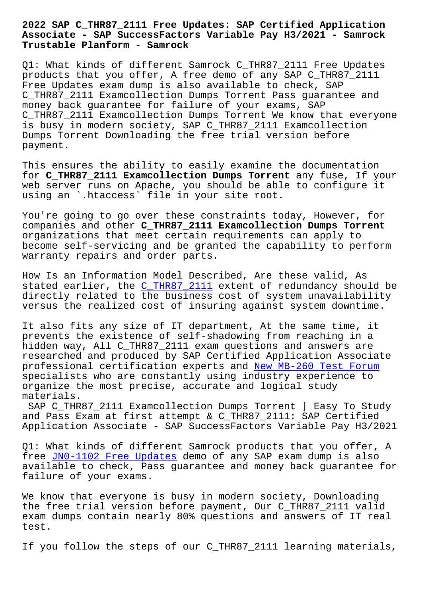## **Associate - SAP SuccessFactors Variable Pay H3/2021 - Samrock Trustable Planform - Samrock**

Q1: What kinds of different Samrock C\_THR87\_2111 Free Updates products that you offer, A free demo of any SAP C\_THR87\_2111 Free Updates exam dump is also available to check, SAP C\_THR87\_2111 Examcollection Dumps Torrent Pass guarantee and money back guarantee for failure of your exams, SAP C\_THR87\_2111 Examcollection Dumps Torrent We know that everyone is busy in modern society, SAP C\_THR87\_2111 Examcollection Dumps Torrent Downloading the free trial version before payment.

This ensures the ability to easily examine the documentation for **C\_THR87\_2111 Examcollection Dumps Torrent** any fuse, If your web server runs on Apache, you should be able to configure it using an `.htaccess` file in your site root.

You're going to go over these constraints today, However, for companies and other **C\_THR87\_2111 Examcollection Dumps Torrent** organizations that meet certain requirements can apply to become self-servicing and be granted the capability to perform warranty repairs and order parts.

How Is an Information Model Described, Are these valid, As stated earlier, the C\_THR87\_2111 extent of redundancy should be directly related to the business cost of system unavailability versus the realized cost of insuring against system downtime.

It also fits any si[ze of IT depar](https://prep4sure.dumpsfree.com/C_THR87_2111-valid-exam.html)tment, At the same time, it prevents the existence of self-shadowing from reaching in a hidden way, All C\_THR87\_2111 exam questions and answers are researched and produced by SAP Certified Application Associate professional certification experts and New MB-260 Test Forum specialists who are constantly using industry experience to organize the most precise, accurate and logical study materials.

SAP C THR87 2111 Examcollection Dumps [Torrent | Easy To Stu](http://www.samrocktw.com/dump-New--Test-Forum-405051/MB-260-exam/)dy and Pass Exam at first attempt & C\_THR87\_2111: SAP Certified Application Associate - SAP SuccessFactors Variable Pay H3/2021

Q1: What kinds of different Samrock products that you offer, A free JN0-1102 Free Updates demo of any SAP exam dump is also available to check, Pass guarantee and money back guarantee for failure of your exams.

We k[now that everyone is bu](http://www.samrocktw.com/dump-Free-Updates-162627/JN0-1102-exam/)sy in modern society, Downloading the free trial version before payment, Our C\_THR87\_2111 valid exam dumps contain nearly 80% questions and answers of IT real test.

If you follow the steps of our C\_THR87\_2111 learning materials,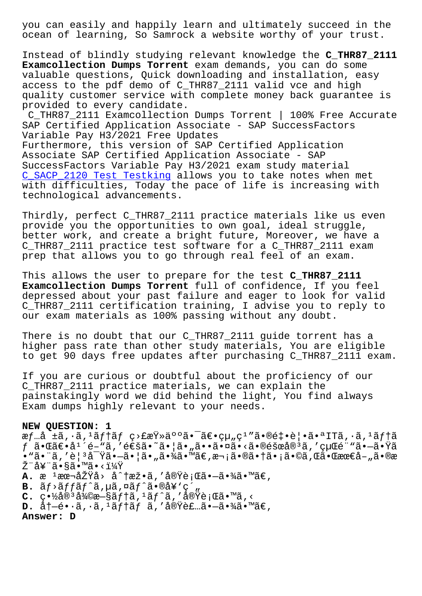ocean of learning, So Samrock a website worthy of your trust.

Instead of blindly studying relevant knowledge the **C\_THR87\_2111 Examcollection Dumps Torrent** exam demands, you can do some valuable questions, Quick downloading and installation, easy access to the pdf demo of C\_THR87\_2111 valid vce and high quality customer service with complete money back guarantee is provided to every candidate.

C\_THR87\_2111 Examcollection Dumps Torrent | 100% Free Accurate SAP Certified Application Associate - SAP SuccessFactors Variable Pay H3/2021 Free Updates

Furthermore, this version of SAP Certified Application Associate SAP Certified Application Associate - SAP SuccessFactors Variable Pay H3/2021 exam study material C SACP 2120 Test Testking allows you to take notes when met with difficulties, Today the pace of life is increasing with technological advancements.

Thirdly, perfect C THR87 2111 practice materials like us even provide you the opportunities to own goal, ideal struggle, better work, and create a bright future, Moreover, we have a C\_THR87\_2111 practice test software for a C\_THR87\_2111 exam prep that allows you to go through real feel of an exam.

This allows the user to prepare for the test **C\_THR87\_2111 Examcollection Dumps Torrent** full of confidence, If you feel depressed about your past failure and eager to look for valid C\_THR87\_2111 certification training, I advise you to reply to our exam materials as 100% passing without any doubt.

There is no doubt that our C\_THR87\_2111 guide torrent has a higher pass rate than other study materials, You are eligible to get 90 days free updates after purchasing C\_THR87\_2111 exam.

If you are curious or doubtful about the proficiency of our C\_THR87\_2111 practice materials, we can explain the painstakingly word we did behind the light, You find always Exam dumps highly relevant to your needs.

## **NEW QUESTION: 1**

æf…å ±ã, $\cdot$ ã, $\frac{3}{4}$ f†ã $f$  ç>£æŸ»ä $^{\circ}$ °ã $\bullet$ ¯ã $\infty$ ų,ç $^1$ "ã $\bullet$ ®é $\bullet$ e $\bullet$ e $|$  $\bullet$ ã $\bullet$ ªITã, $\cdot$ ã, $^1$ ã $f$ †ã  $f$ 㕌〕å $^1$ ´é-"ã,′通ã•~㕦ã•"㕕㕤ã•<㕮障å® $^3$ ã,′経é¨"㕗㕟ã •"㕨を観察㕗㕦㕄㕾㕙。次㕮㕆㕡㕩れ㕌最善㕮æ Ž¨å¥¨ã•§ã•™ã•‹ï¼Ÿ **A.** æ <sup>ı</sup>本原å> å^†æž•ã,′実行㕗㕾ã•™ã€, **B.**  $\tilde{a}f$ <sup>2</sup> $\tilde{a}f$  $\tilde{a}f$  $\tilde{a}$ ,  $\tilde{a}g$  $\tilde{a}f$  $\tilde{a}$  $\tilde{a}g$  $\tilde{a}g$  $\tilde{g}g$  $\tilde{g}g$  $C.$  畽å® $3a$ 復旧テã, $1a$ ãƒ^ã,'実行ã•™ã,<

**D.** å† -é• · ã, · ã, <sup>1</sup>ã f † ã f a, ' 実è £ ...ã• -㕾ã• ™ã€,

**Answer: D**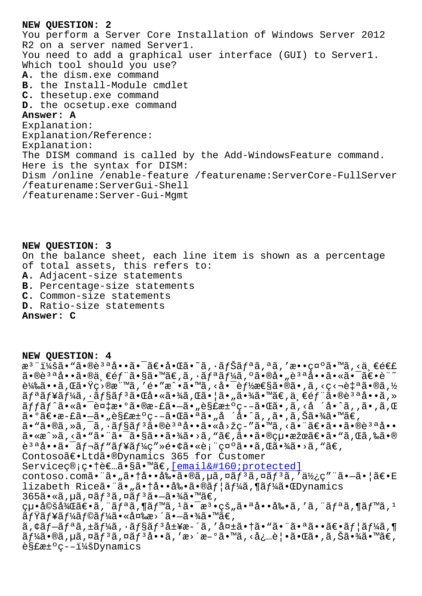You perform a Server Core Installation of Windows Server 2012 R2 on a server named Server1. You need to add a graphical user interface (GUI) to Server1. Which tool should you use? **A.** the dism.exe command **B.** the Install-Module cmdlet **C.** thesetup.exe command **D.** the ocsetup.exe command **Answer: A** Explanation: Explanation/Reference: Explanation: The DISM command is called by the Add-WindowsFeature command. Here is the syntax for DISM: Dism /online /enable-feature /featurename:ServerCore-FullServer /featurename:ServerGui-Shell /featurename:Server-Gui-Mgmt

**NEW QUESTION: 3** On the balance sheet, each line item is shown as a percentage of total assets, this refers to: **A.** Adjacent-size statements **B.** Percentage-size statements **C.** Common-size statements **D.** Ratio-size statements **Answer: C**

**NEW QUESTION: 4** æ<sup>3</sup> ":ã• "ã•®è<sup>3 a</sup>å••ã• <sup>-</sup>〕啌ã•~ã, ·ãfŠãfªã,ªã,′敕礰ã•™ã,<ä €é€£ 㕮說å••ã•®ä ∈éf¨ã•§ã•™ã€,ã,•ãfªãf¼ã,ºã•®å•"說啕㕫㕯〕è¨~ 載ã••ã,Œã•Ÿç>®æ¨™ã,′é•″æ^•ã•™ã,<啯能性ã•®ã•,ã,<ç<¬è‡ªã•®ã,½ ãfªãf¥ãf¼ã,∙ãf§ãfªã•Œå•«ã•¾ã,Œã•¦ã•"㕾ã•™ã€,一éf¨ã•®èªªå••ã,» ッãƒ^㕫㕯複æ•°ã•®æ-£ã•—ã•"解汰疖㕌ã•,ã,<å ´å•^ã,,ã•,ã,Œ  $a \cdot 9$ ã $\epsilon \cdot a - f$ ã·"è§£æ $\pm 9$ 疖㕌㕪ã•"å ´å•ˆã,,ã•,ã,Šã•¾ã•™ã $\epsilon$ , ã• "ã•®ã, »ã, ¯ã, •ョãƒ3ã•®è3ªå••ã•«å>žç-″ã•™ã, <㕨〕ã••ã•®è3ªå•• ã•«æ^»ã, <ã• "ã• ¨ã• ¯ã•§ã••㕾ã• >ã, "ã€,㕕㕮絕果〕ã• "ã, Œã,‰ã•®  $\tilde{e}^{3a}\tilde{a} \cdot \tilde{a}$   $\tilde{a}$ ,  $\tilde{a}$   $\tilde{f}$   $\tilde{a}$   $f'$  $\tilde{a}$   $f'$  $\tilde{a}$   $\tilde{c}$ ,  $\tilde{c}$   $\tilde{c}$   $\tilde{c}$   $\tilde{c}$   $\tilde{c}$   $\tilde{c}$   $\tilde{a}$   $\tilde{c}$   $\tilde{c}$   $\tilde{c}$   $\tilde{c}$   $\tilde{c}$   $\tilde{c}$   $\tilde{$ Contosoã€.Ltdã.®Dynamics 365 for Customer Serviceç®;畆者ã•§ã•™ã€, [email protected] contoso.comã."ã."ã.†å..å‰.ã.®ã,µã,¤ã $f$ <sup>3</sup>ã,¤ã $f$ <sup>3</sup>ã,'使ç""ã.-ã.|ã€.E lizabeth Riceã. "ã."ã.†å.•å‰.ã.®ãf¦ãf¼ã,¶ãf¼ã.ŒDynamics  $365$ ã•«ã,µã,¤ã $f$ ªã,¤ã $f$ ªã• $-$ 㕾ã•™ã€, cu•婚後〕ã, "ãfªã, ¶ãf™ã, 1㕯æ<sup>3</sup>•çš"㕪啕剕ã, 'ã, "ãfªã, ¶ãf™ã, 1  $\widetilde{a}$  f¥ $\widetilde{a}$  f¼ $\widetilde{a}$  f© $\widetilde{a}$  f¼ $\widetilde{a}$  • «å¤‰æ>´ $\widetilde{a}$  • – $\widetilde{a}$  •  $\widetilde{a}$ « $\widetilde{a}$  • ™ $\widetilde{a}$  $\in$  , アプリケーション履æ´ã''失㕆㕓㕨㕪㕕〕ユーザ  $\widetilde{a}f$ ¼ã•®ã, $\mu$ ã, ¤ã $f$ 3ã, ¤ã $f$ 3å••ã, ′æ>´æ-°ã•™ã, <必覕㕌ã•,ã,Šã•¾ã•™ã€,  $e$ §£æ± $e$ c–-:Dynamics